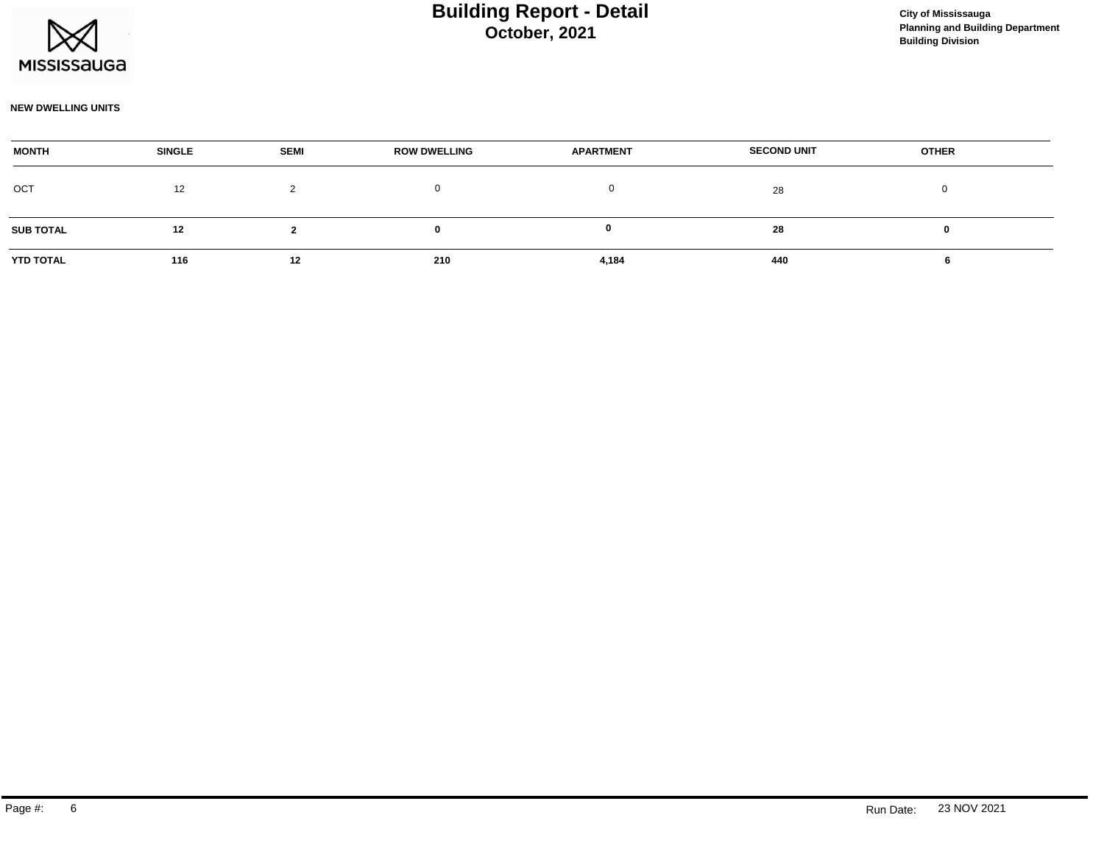

#### **NEW DWELLING UNITS**

| <b>MONTH</b>     | <b>SINGLE</b> | <b>SEMI</b> | <b>ROW DWELLING</b> | <b>APARTMENT</b> | <b>SECOND UNIT</b> | <b>OTHER</b> |  |
|------------------|---------------|-------------|---------------------|------------------|--------------------|--------------|--|
| OCT              | 12            | ∼           |                     |                  | 28                 |              |  |
| <b>SUB TOTAL</b> | 12            |             |                     |                  | 28                 |              |  |
| YTD TOTAL        | 116           | 12          | 210                 | 4,184            | 440                |              |  |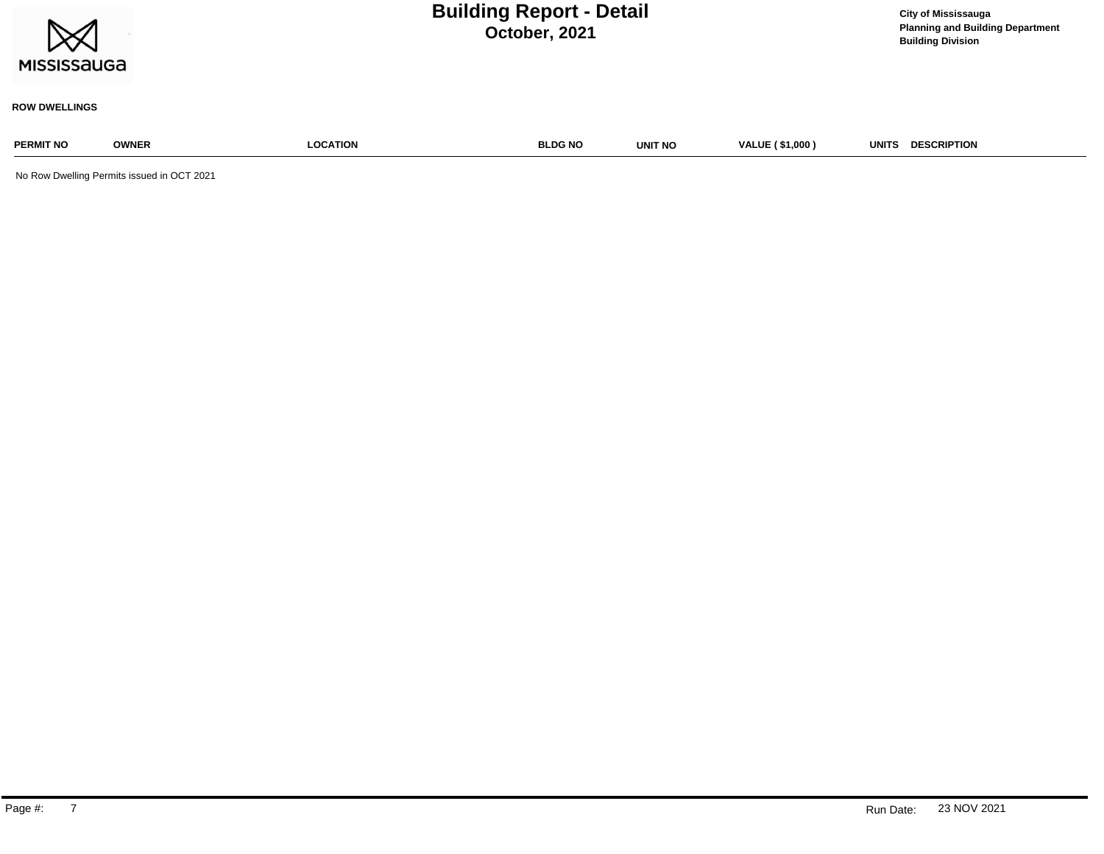| $\times$    |  |
|-------------|--|
| MISSISSAUGA |  |

**Planning and Building Department Building Division**

#### **ROW DWELLINGS**

# **PERMIT NO OWNER LOCATION BLDG NO UNIT NO VALUE ( \$1,000 ) UNITS DESCRIPTION**

No Row Dwelling Permits issued in OCT 2021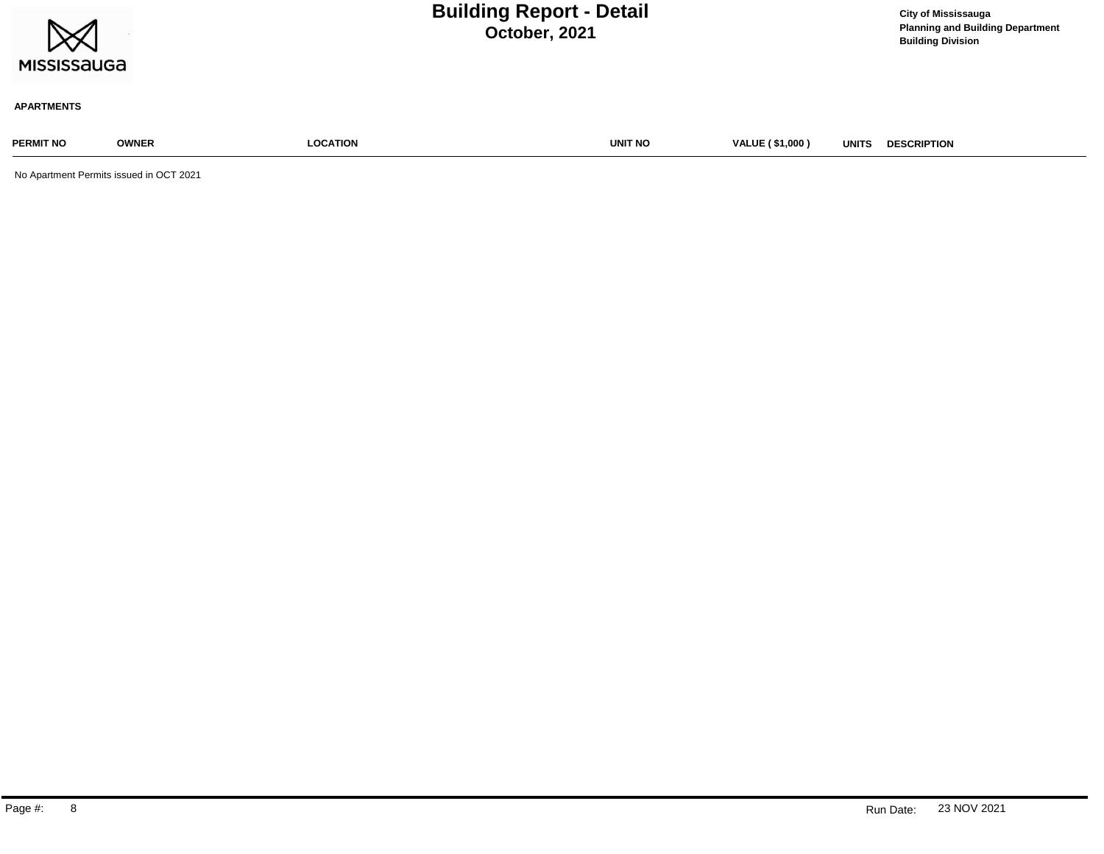| $\bowtie$<br><b>MISSISSAUGA</b> |                                 | <b>Building Report - Detail</b><br>October, 2021 |                                        | <b>City of Mississauga</b><br><b>Planning and Building Department</b><br><b>Building Division</b> |
|---------------------------------|---------------------------------|--------------------------------------------------|----------------------------------------|---------------------------------------------------------------------------------------------------|
| <b>APARTMENTS</b>               |                                 |                                                  |                                        |                                                                                                   |
| <b>PERMIT NO</b>                | <b>LOCATION</b><br><b>OWNER</b> | UNIT NO                                          | <b>VALUE (\$1,000)</b><br><b>UNITS</b> | <b>DESCRIPTION</b>                                                                                |

No Apartment Permits issued in OCT 2021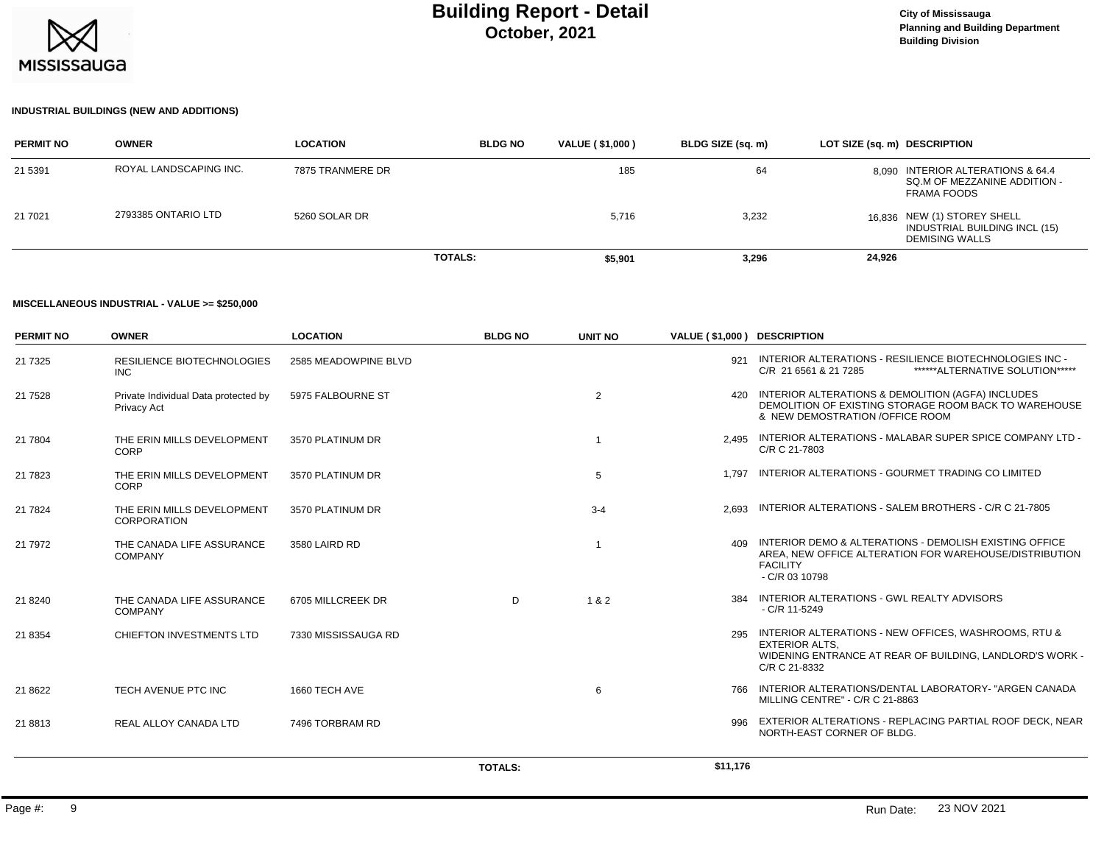

### **INDUSTRIAL BUILDINGS (NEW AND ADDITIONS)**

| <b>PERMIT NO</b> | <b>OWNER</b>           | <b>LOCATION</b>  | <b>BLDG NO</b> | VALUE (\$1,000) | BLDG SIZE (sq. m) | LOT SIZE (sq. m) DESCRIPTION                                                          |
|------------------|------------------------|------------------|----------------|-----------------|-------------------|---------------------------------------------------------------------------------------|
| 21 5391          | ROYAL LANDSCAPING INC. | 7875 TRANMERE DR |                | 185             | 64                | 8.090 INTERIOR ALTERATIONS & 64.4<br>SQ.M OF MEZZANINE ADDITION -<br>FRAMA FOODS      |
| 21 7021          | 2793385 ONTARIO LTD    | 5260 SOLAR DR    |                | 5,716           | 3,232             | 16.836 NEW (1) STOREY SHELL<br>INDUSTRIAL BUILDING INCL (15)<br><b>DEMISING WALLS</b> |
|                  |                        |                  | <b>TOTALS:</b> | \$5,901         | 3,296             | 24,926                                                                                |

#### **MISCELLANEOUS INDUSTRIAL - VALUE >= \$250,000**

| <b>PERMIT NO</b> | <b>OWNER</b>                                        | <b>LOCATION</b>      | <b>BLDG NO</b> | <b>UNIT NO</b> | VALUE (\$1,000) DESCRIPTION |                                                                                                                                                                |
|------------------|-----------------------------------------------------|----------------------|----------------|----------------|-----------------------------|----------------------------------------------------------------------------------------------------------------------------------------------------------------|
| 21 7 3 2 5       | <b>RESILIENCE BIOTECHNOLOGIES</b><br><b>INC</b>     | 2585 MEADOWPINE BLVD |                |                |                             | 921 INTERIOR ALTERATIONS - RESILIENCE BIOTECHNOLOGIES INC -<br>******ALTERNATIVE SOLUTION*****<br>C/R 21 6561 & 21 7285                                        |
| 21 7528          | Private Individual Data protected by<br>Privacy Act | 5975 FALBOURNE ST    |                | $\overline{2}$ | 420                         | INTERIOR ALTERATIONS & DEMOLITION (AGFA) INCLUDES<br>DEMOLITION OF EXISTING STORAGE ROOM BACK TO WAREHOUSE<br>& NEW DEMOSTRATION / OF FICE ROOM                |
| 21 7804          | THE ERIN MILLS DEVELOPMENT<br><b>CORP</b>           | 3570 PLATINUM DR     |                | -1             |                             | 2.495 INTERIOR ALTERATIONS - MALABAR SUPER SPICE COMPANY LTD -<br>C/R C 21-7803                                                                                |
| 21 7823          | THE ERIN MILLS DEVELOPMENT<br><b>CORP</b>           | 3570 PLATINUM DR     |                | 5              | 1.797                       | INTERIOR ALTERATIONS - GOURMET TRADING CO LIMITED                                                                                                              |
| 21 7824          | THE ERIN MILLS DEVELOPMENT<br><b>CORPORATION</b>    | 3570 PLATINUM DR     |                | $3 - 4$        | 2.693                       | INTERIOR ALTERATIONS - SALEM BROTHERS - C/R C 21-7805                                                                                                          |
| 21 7 9 7 2       | THE CANADA LIFE ASSURANCE<br><b>COMPANY</b>         | 3580 LAIRD RD        |                | $\overline{1}$ | 409                         | INTERIOR DEMO & ALTERATIONS - DEMOLISH EXISTING OFFICE<br>AREA, NEW OFFICE ALTERATION FOR WAREHOUSE/DISTRIBUTION<br><b>FACILITY</b><br>$-C/R$ 03 10798         |
| 21 8 240         | THE CANADA LIFE ASSURANCE<br><b>COMPANY</b>         | 6705 MILLCREEK DR    | D              | 1 & 2          | 384                         | INTERIOR ALTERATIONS - GWL REALTY ADVISORS<br>$-C/R$ 11-5249                                                                                                   |
| 21 8354          | CHIEFTON INVESTMENTS LTD                            | 7330 MISSISSAUGA RD  |                |                |                             | 295 INTERIOR ALTERATIONS - NEW OFFICES, WASHROOMS, RTU &<br><b>EXTERIOR ALTS.</b><br>WIDENING ENTRANCE AT REAR OF BUILDING, LANDLORD'S WORK -<br>C/R C 21-8332 |
| 21 8622          | TECH AVENUE PTC INC                                 | 1660 TECH AVE        |                | 6              |                             | 766 INTERIOR ALTERATIONS/DENTAL LABORATORY- "ARGEN CANADA<br>MILLING CENTRE" - C/R C 21-8863                                                                   |
| 21 8813          | REAL ALLOY CANADA LTD                               | 7496 TORBRAM RD      |                |                | 996                         | EXTERIOR ALTERATIONS - REPLACING PARTIAL ROOF DECK. NEAR<br>NORTH-EAST CORNER OF BLDG.                                                                         |
|                  |                                                     |                      | <b>TOTALS:</b> |                | \$11,176                    |                                                                                                                                                                |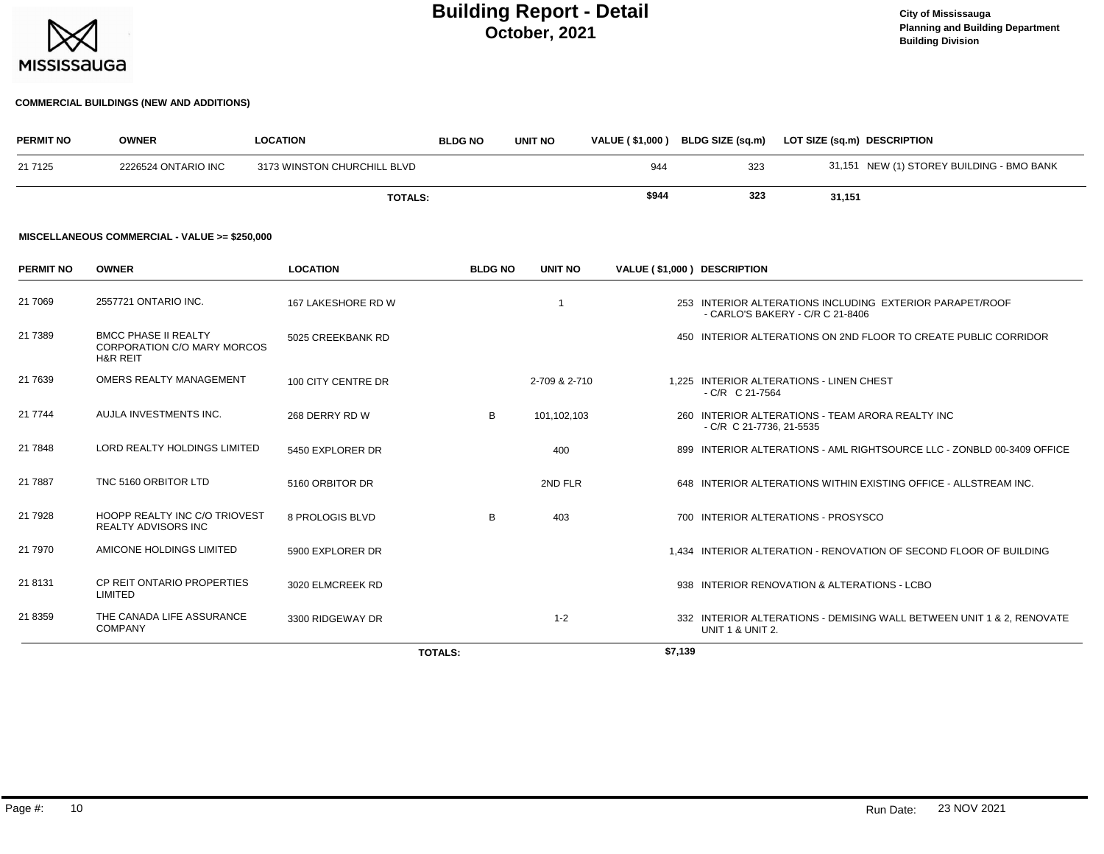

#### **COMMERCIAL BUILDINGS (NEW AND ADDITIONS)**

| <b>PERMIT NO</b> | <b>OWNER</b>        | <b>LOCATION</b>             | <b>BLDG NO</b> | <b>UNIT NO</b> | <b>VALUE (\$1,000)</b> | BLDG SIZE (sq.m) | LOT SIZE (sq.m) DESCRIPTION               |
|------------------|---------------------|-----------------------------|----------------|----------------|------------------------|------------------|-------------------------------------------|
| 21 7125          | 2226524 ONTARIO INC | 3173 WINSTON CHURCHILL BLVD |                |                | 944                    | 323              | 31,151 NEW (1) STOREY BUILDING - BMO BANK |
|                  |                     | <b>TOTALS:</b>              |                |                | \$944                  | 323              | 31,151                                    |

#### **MISCELLANEOUS COMMERCIAL - VALUE >= \$250,000**

| <b>PERMIT NO</b> | <b>OWNER</b>                                                                             | <b>LOCATION</b>    | <b>BLDG NO</b> | <b>UNIT NO</b> | VALUE (\$1,000) DESCRIPTION |                                                                                           |
|------------------|------------------------------------------------------------------------------------------|--------------------|----------------|----------------|-----------------------------|-------------------------------------------------------------------------------------------|
| 21 7069          | 2557721 ONTARIO INC.                                                                     | 167 LAKESHORE RD W |                |                |                             | INTERIOR ALTERATIONS INCLUDING EXTERIOR PARAPET/ROOF<br>- CARLO'S BAKERY - C/R C 21-8406  |
| 21 7389          | <b>BMCC PHASE II REALTY</b><br><b>CORPORATION C/O MARY MORCOS</b><br><b>H&amp;R REIT</b> | 5025 CREEKBANK RD  |                |                |                             | 450 INTERIOR ALTERATIONS ON 2ND FLOOR TO CREATE PUBLIC CORRIDOR                           |
| 21 7639          | OMERS REALTY MANAGEMENT                                                                  | 100 CITY CENTRE DR |                | 2-709 & 2-710  |                             | 1.225 INTERIOR ALTERATIONS - LINEN CHEST<br>$-C/R$ C 21-7564                              |
| 21 7744          | AUJLA INVESTMENTS INC.                                                                   | 268 DERRY RD W     | B              | 101,102,103    |                             | 260 INTERIOR ALTERATIONS - TEAM ARORA REALTY INC<br>- C/R C 21-7736, 21-5535              |
| 21 7848          | LORD REALTY HOLDINGS LIMITED                                                             | 5450 EXPLORER DR   |                | 400            |                             | 899 INTERIOR ALTERATIONS - AML RIGHTSOURCE LLC - ZONBLD 00-3409 OFFICE                    |
| 21 7887          | TNC 5160 ORBITOR LTD                                                                     | 5160 ORBITOR DR    |                | 2ND FLR        |                             | 648 INTERIOR ALTERATIONS WITHIN EXISTING OFFICE - ALLSTREAM INC.                          |
| 21 7928          | HOOPP REALTY INC C/O TRIOVEST<br><b>REALTY ADVISORS INC</b>                              | 8 PROLOGIS BLVD    | B              | 403            |                             | 700 INTERIOR ALTERATIONS - PROSYSCO                                                       |
| 21 7970          | AMICONE HOLDINGS LIMITED                                                                 | 5900 EXPLORER DR   |                |                |                             | 1,434 INTERIOR ALTERATION - RENOVATION OF SECOND FLOOR OF BUILDING                        |
| 21 8131          | CP REIT ONTARIO PROPERTIES<br><b>LIMITED</b>                                             | 3020 ELMCREEK RD   |                |                |                             | 938 INTERIOR RENOVATION & ALTERATIONS - LCBO                                              |
| 21 8359          | THE CANADA LIFE ASSURANCE<br><b>COMPANY</b>                                              | 3300 RIDGEWAY DR   |                | $1 - 2$        |                             | 332 INTERIOR ALTERATIONS - DEMISING WALL BETWEEN UNIT 1 & 2, RENOVATE<br>UNIT 1 & UNIT 2. |
|                  |                                                                                          |                    | <b>TOTALS:</b> |                | \$7,139                     |                                                                                           |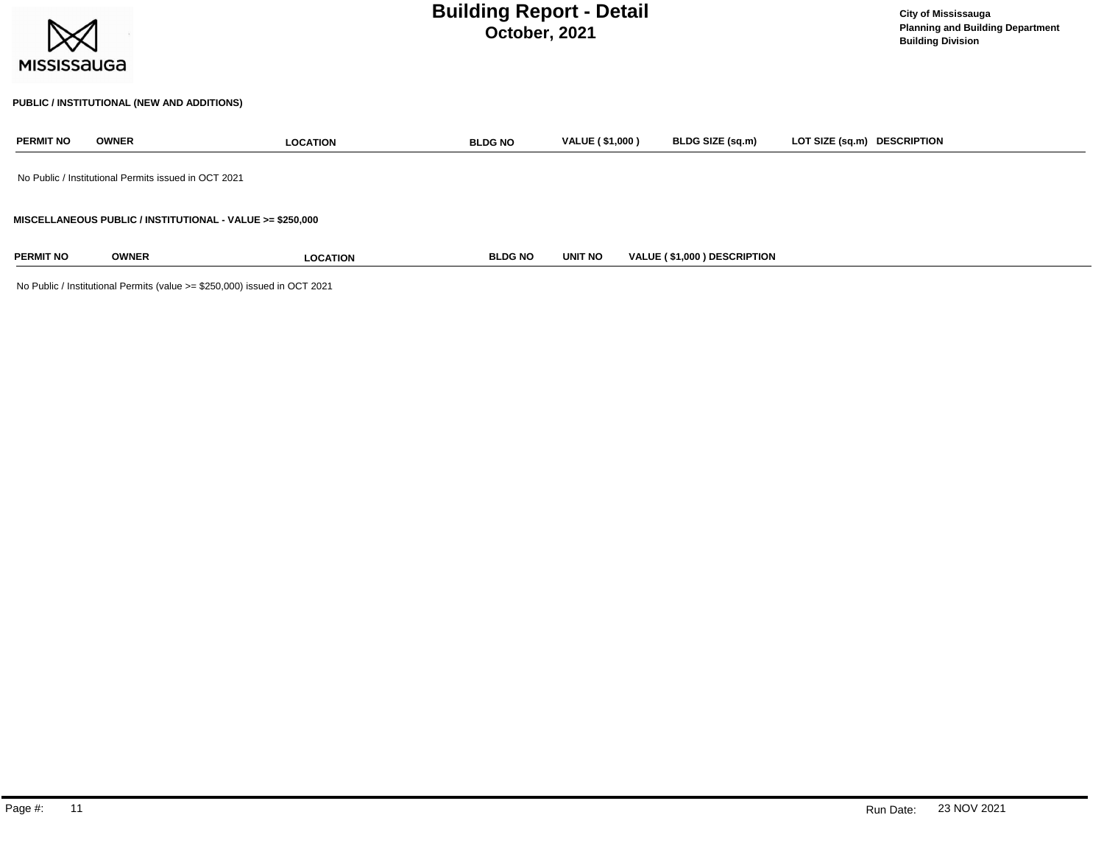| <b>MISSISSAUGA</b> |              | <b>Building Report - Detail</b>                           | <b>City of Mississauga</b><br><b>Planning and Building Department</b><br><b>Building Division</b> |                        |                             |                             |
|--------------------|--------------|-----------------------------------------------------------|---------------------------------------------------------------------------------------------------|------------------------|-----------------------------|-----------------------------|
|                    |              | PUBLIC / INSTITUTIONAL (NEW AND ADDITIONS)                |                                                                                                   |                        |                             |                             |
| <b>PERMIT NO</b>   | <b>OWNER</b> | <b>LOCATION</b>                                           | <b>BLDG NO</b>                                                                                    | <b>VALUE (\$1,000)</b> | BLDG SIZE (sq.m)            | LOT SIZE (sq.m) DESCRIPTION |
|                    |              | No Public / Institutional Permits issued in OCT 2021      |                                                                                                   |                        |                             |                             |
|                    |              | MISCELLANEOUS PUBLIC / INSTITUTIONAL - VALUE >= \$250,000 |                                                                                                   |                        |                             |                             |
| <b>PERMIT NO</b>   | <b>OWNER</b> | <b>LOCATION</b>                                           | <b>BLDG NO</b>                                                                                    | <b>UNIT NO</b>         | VALUE (\$1,000) DESCRIPTION |                             |

No Public / Institutional Permits (value >= \$250,000) issued in OCT 2021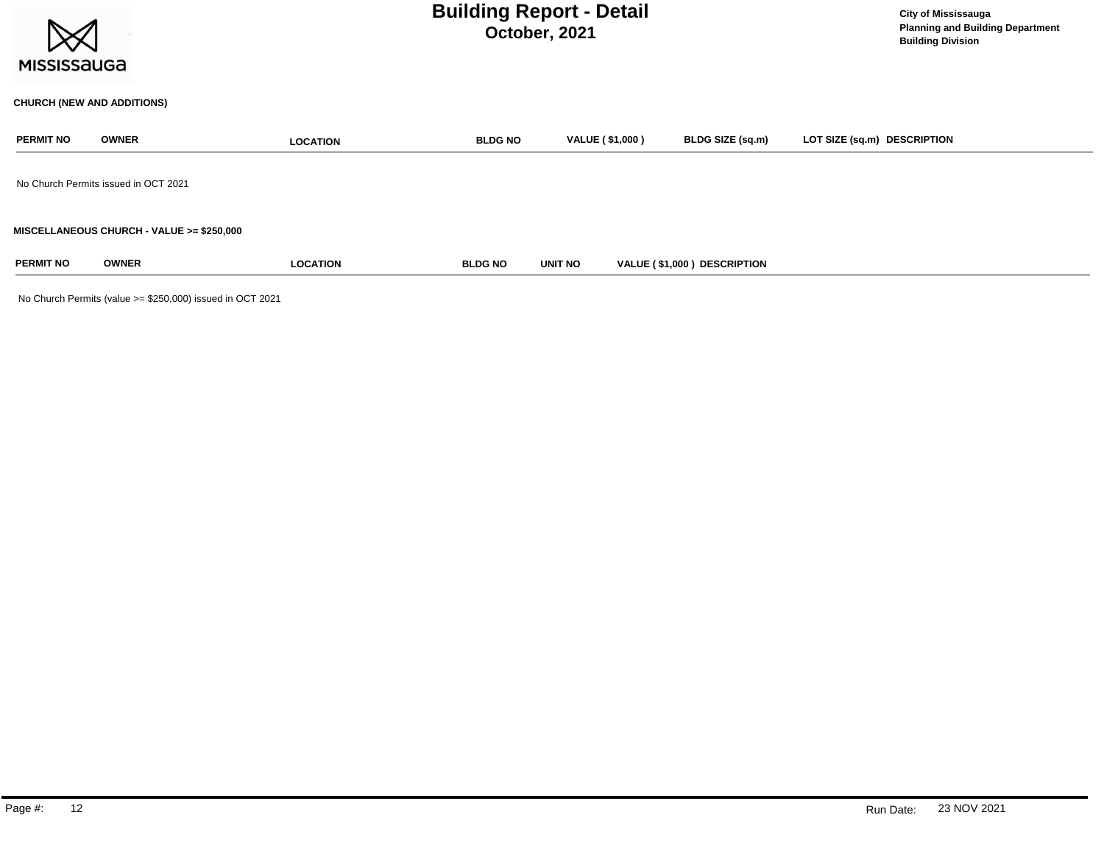| <b>MISSISSAUGA</b> |                                           |                 | <b>Building Report - Detail</b><br>October, 2021 | <b>City of Mississauga</b><br><b>Planning and Building Department</b><br><b>Building Division</b> |                             |                             |
|--------------------|-------------------------------------------|-----------------|--------------------------------------------------|---------------------------------------------------------------------------------------------------|-----------------------------|-----------------------------|
|                    | <b>CHURCH (NEW AND ADDITIONS)</b>         |                 |                                                  |                                                                                                   |                             |                             |
| <b>PERMIT NO</b>   | <b>OWNER</b>                              | <b>LOCATION</b> | <b>BLDG NO</b>                                   | <b>VALUE (\$1,000)</b>                                                                            | BLDG SIZE (sq.m)            | LOT SIZE (sq.m) DESCRIPTION |
|                    | No Church Permits issued in OCT 2021      |                 |                                                  |                                                                                                   |                             |                             |
|                    | MISCELLANEOUS CHURCH - VALUE >= \$250,000 |                 |                                                  |                                                                                                   |                             |                             |
| <b>PERMIT NO</b>   | <b>OWNER</b>                              | <b>LOCATION</b> | <b>BLDG NO</b>                                   | <b>UNIT NO</b>                                                                                    | VALUE (\$1,000) DESCRIPTION |                             |

No Church Permits (value >= \$250,000) issued in OCT 2021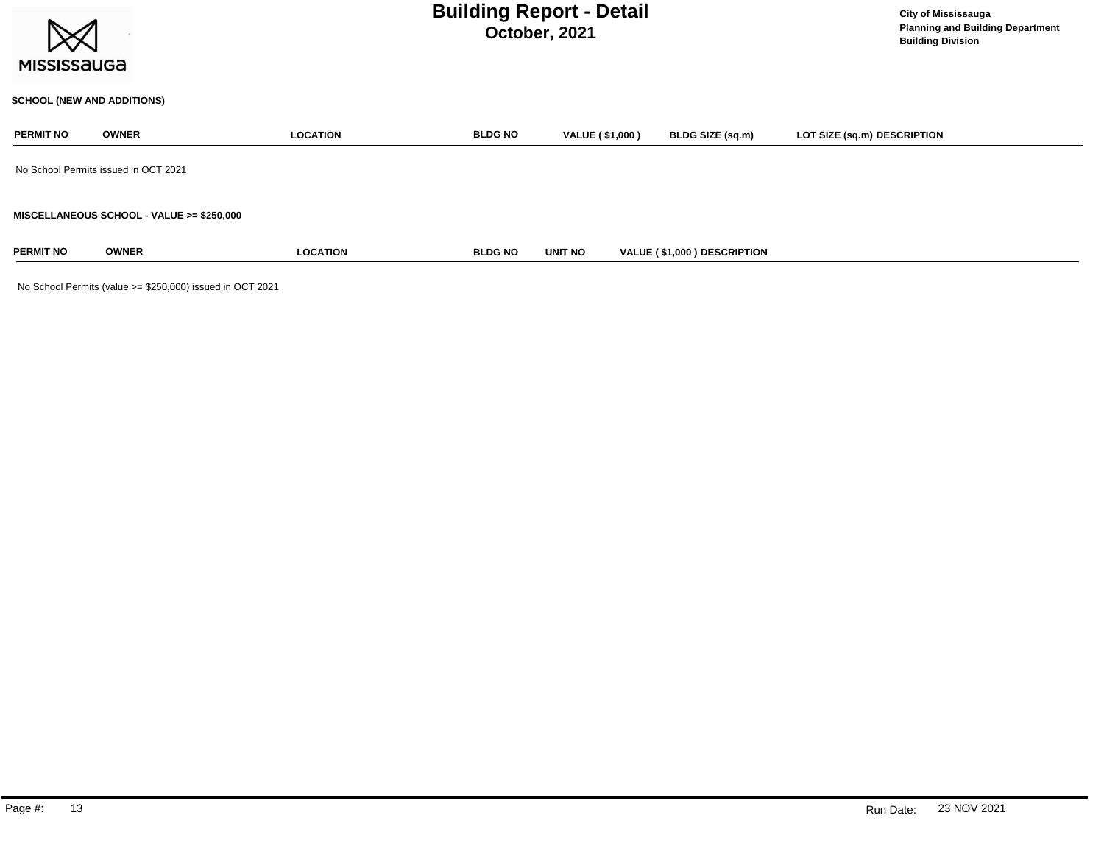

#### **SCHOOL (NEW AND ADDITIONS)**

| <b>PERMIT NO</b>                     | <b>OWNER</b>                              | <b>LOCATION</b> | <b>BLDG NO</b> | <b>VALUE (\$1,000)</b> | <b>BLDG SIZE (sq.m)</b>     | LOT SIZE (sq.m) DESCRIPTION |  |  |
|--------------------------------------|-------------------------------------------|-----------------|----------------|------------------------|-----------------------------|-----------------------------|--|--|
| No School Permits issued in OCT 2021 |                                           |                 |                |                        |                             |                             |  |  |
|                                      | MISCELLANEOUS SCHOOL - VALUE >= \$250,000 |                 |                |                        |                             |                             |  |  |
| <b>PERMIT NO</b>                     | <b>OWNER</b>                              | <b>LOCATION</b> | <b>BLDG NO</b> | <b>UNIT NO</b>         | VALUE (\$1,000) DESCRIPTION |                             |  |  |

No School Permits (value >= \$250,000) issued in OCT 2021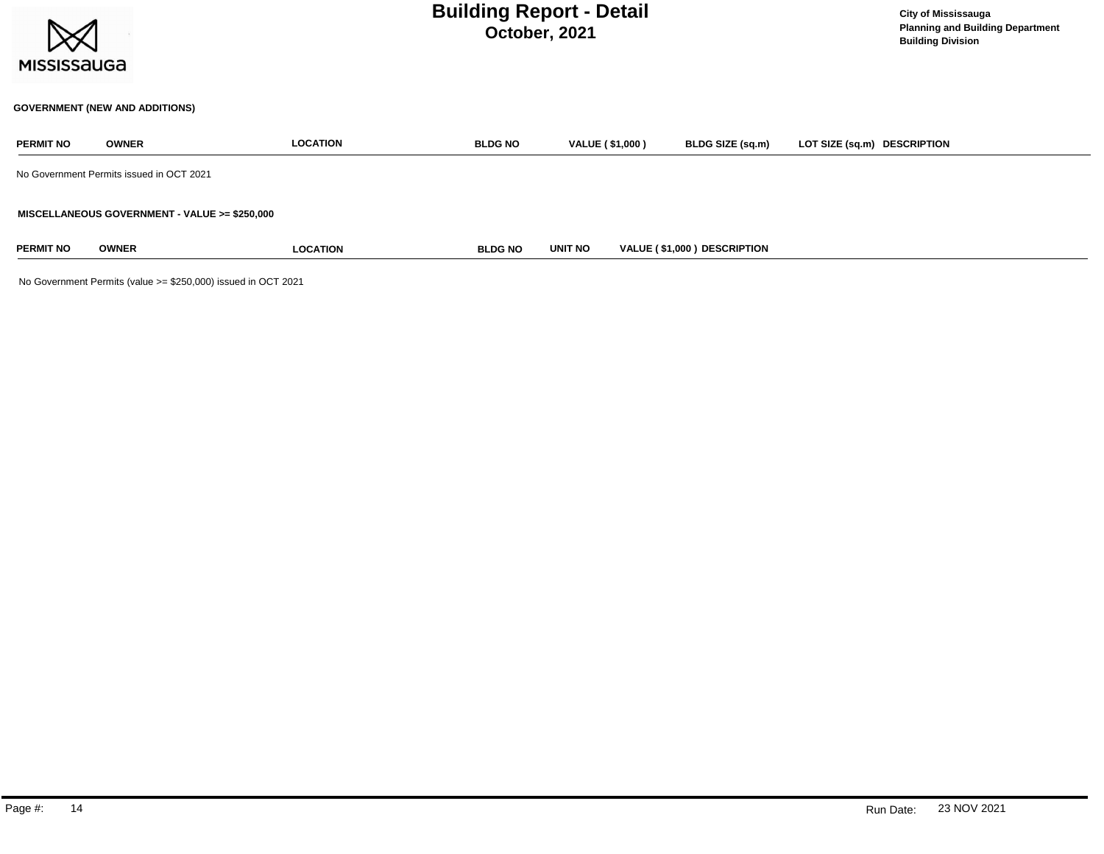

### **GOVERNMENT (NEW AND ADDITIONS)**

| <b>PERMIT NO</b> | <b>OWNER</b>                                  | <b>LOCATION</b> | <b>BLDG NO</b> | <b>VALUE (\$1,000)</b> | BLDG SIZE (sq.m)                   | LOT SIZE (sq.m) DESCRIPTION |
|------------------|-----------------------------------------------|-----------------|----------------|------------------------|------------------------------------|-----------------------------|
|                  | No Government Permits issued in OCT 2021      |                 |                |                        |                                    |                             |
|                  | MISCELLANEOUS GOVERNMENT - VALUE >= \$250,000 |                 |                |                        |                                    |                             |
| <b>PERMIT NO</b> | <b>OWNER</b>                                  | <b>LOCATION</b> | <b>BLDG NO</b> | <b>UNIT NO</b>         | <b>VALUE (\$1,000) DESCRIPTION</b> |                             |

No Government Permits (value >= \$250,000) issued in OCT 2021